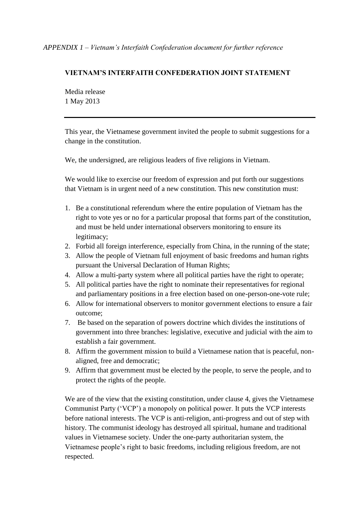## **VIETNAM'S INTERFAITH CONFEDERATION JOINT STATEMENT**

Media release 1 May 2013

This year, the Vietnamese government invited the people to submit suggestions for a change in the constitution.

We, the undersigned, are religious leaders of five religions in Vietnam.

We would like to exercise our freedom of expression and put forth our suggestions that Vietnam is in urgent need of a new constitution. This new constitution must:

- 1. Be a constitutional referendum where the entire population of Vietnam has the right to vote yes or no for a particular proposal that forms part of the constitution, and must be held under international observers monitoring to ensure its legitimacy;
- 2. Forbid all foreign interference, especially from China, in the running of the state;
- 3. Allow the people of Vietnam full enjoyment of basic freedoms and human rights pursuant the Universal Declaration of Human Rights;
- 4. Allow a multi-party system where all political parties have the right to operate;
- 5. All political parties have the right to nominate their representatives for regional and parliamentary positions in a free election based on one-person-one-vote rule;
- 6. Allow for international observers to monitor government elections to ensure a fair outcome;
- 7. Be based on the separation of powers doctrine which divides the institutions of government into three branches: legislative, executive and judicial with the aim to establish a fair government.
- 8. Affirm the government mission to build a Vietnamese nation that is peaceful, nonaligned, free and democratic;
- 9. Affirm that government must be elected by the people, to serve the people, and to protect the rights of the people.

We are of the view that the existing constitution, under clause 4, gives the Vietnamese Communist Party ('VCP') a monopoly on political power. It puts the VCP interests before national interests. The VCP is anti-religion, anti-progress and out of step with history. The communist ideology has destroyed all spiritual, humane and traditional values in Vietnamese society. Under the one-party authoritarian system, the Vietnamese people's right to basic freedoms, including religious freedom, are not respected.